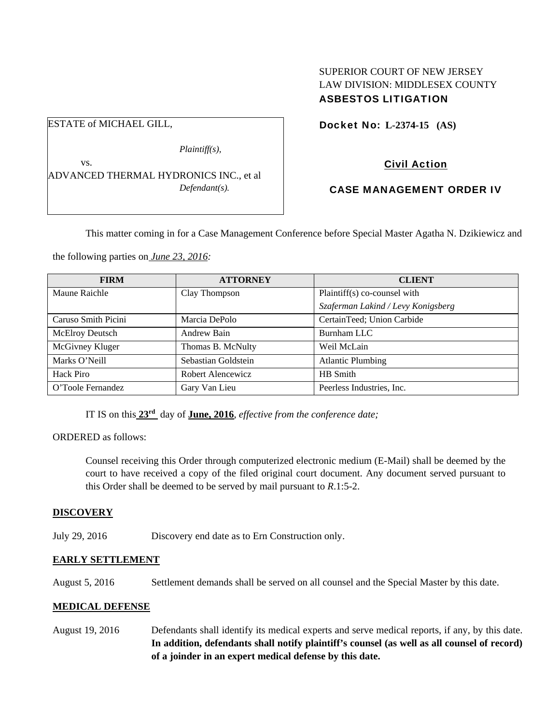# SUPERIOR COURT OF NEW JERSEY LAW DIVISION: MIDDLESEX COUNTY ASBESTOS LITIGATION

Docket No: **L-2374-15 (AS)** 

Civil Action

## CASE MANAGEMENT ORDER IV

This matter coming in for a Case Management Conference before Special Master Agatha N. Dzikiewicz and

the following parties on *June 23, 2016:* 

ESTATE of MICHAEL GILL,

| <b>FIRM</b>            | <b>ATTORNEY</b>     | <b>CLIENT</b>                      |
|------------------------|---------------------|------------------------------------|
| Maune Raichle          | Clay Thompson       | Plaintiff(s) co-counsel with       |
|                        |                     | Szaferman Lakind / Levy Konigsberg |
| Caruso Smith Picini    | Marcia DePolo       | CertainTeed; Union Carbide         |
| <b>McElroy Deutsch</b> | Andrew Bain         | Burnham LLC                        |
| McGivney Kluger        | Thomas B. McNulty   | Weil McLain                        |
| Marks O'Neill          | Sebastian Goldstein | <b>Atlantic Plumbing</b>           |
| Hack Piro              | Robert Alencewicz   | HB Smith                           |
| O'Toole Fernandez      | Gary Van Lieu       | Peerless Industries, Inc.          |

IT IS on this **23rd** day of **June, 2016**, *effective from the conference date;*

ORDERED as follows:

Counsel receiving this Order through computerized electronic medium (E-Mail) shall be deemed by the court to have received a copy of the filed original court document. Any document served pursuant to this Order shall be deemed to be served by mail pursuant to *R*.1:5-2.

## **DISCOVERY**

July 29, 2016 Discovery end date as to Ern Construction only.

### **EARLY SETTLEMENT**

August 5, 2016 Settlement demands shall be served on all counsel and the Special Master by this date.

### **MEDICAL DEFENSE**

August 19, 2016 Defendants shall identify its medical experts and serve medical reports, if any, by this date. **In addition, defendants shall notify plaintiff's counsel (as well as all counsel of record) of a joinder in an expert medical defense by this date.** 

 *Plaintiff(s),*  vs. ADVANCED THERMAL HYDRONICS INC., et al *Defendant(s).*